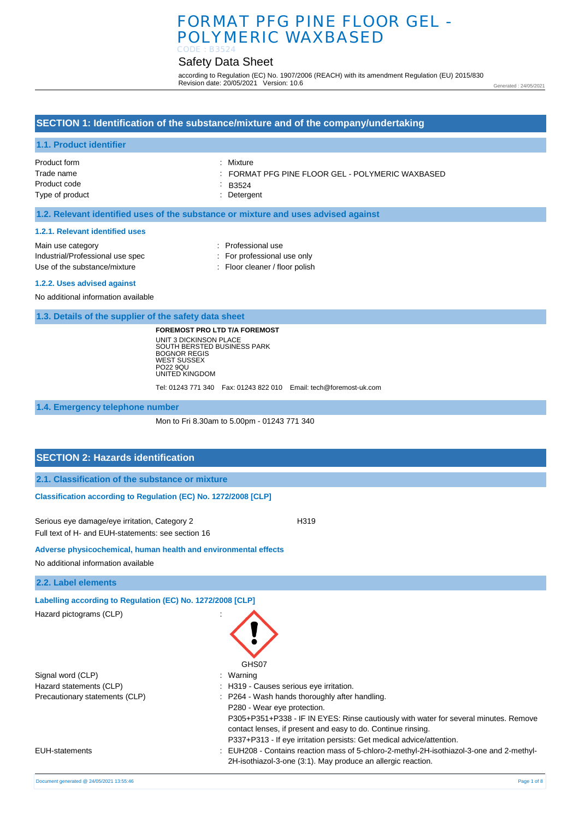# Safety Data Sheet

according to Regulation (EC) No. 1907/2006 (REACH) with its amendment Regulation (EU) 2015/830 Revision date: 20/05/2021 Version: 10.6

Generated : 24/05/2021

## **SECTION 1: Identification of the substance/mixture and of the company/undertaking**

## **1.1. Product identifier**

| Product form    | : Mixture                                      |
|-----------------|------------------------------------------------|
| Trade name      | FORMAT PFG PINE FLOOR GEL - POLYMERIC WAXBASED |
| Product code    | $\therefore$ B3524                             |
| Type of product | : Detergent                                    |
|                 |                                                |

## **1.2. Relevant identified uses of the substance or mixture and uses advised against**

#### **1.2.1. Relevant identified uses**

| Main use category                                                                                                                                                                                                              | : Professional use             |
|--------------------------------------------------------------------------------------------------------------------------------------------------------------------------------------------------------------------------------|--------------------------------|
| Industrial/Professional use spec                                                                                                                                                                                               | : For professional use only    |
| Use of the substance/mixture                                                                                                                                                                                                   | : Floor cleaner / floor polish |
| at which in the second state of the second control of the second state of the second state of the second state of the second state of the second state of the second state of the second state of the second state of the seco |                                |

#### **1.2.2. Uses advised against**

No additional information available

**1.3. Details of the supplier of the safety data sheet**

**FOREMOST PRO LTD T/A FOREMOST** UNIT 3 DICKINSON PLACE SOUTH BERSTED BUSINESS PARK BOGNOR REGIS WEST SUSSEX PO22 9QU UNITED KINGDOM

Tel: 01243 771 340 Fax: 01243 822 010 Email: tech@foremost-uk.com

**1.4. Emergency telephone number**

Mon to Fri 8.30am to 5.00pm - 01243 771 340

GHS07

P280 - Wear eye protection.

P305+P351+P338 - IF IN EYES: Rinse cautiously with water for several minutes. Remove

contact lenses, if present and easy to do. Continue rinsing. P337+P313 - If eye irritation persists: Get medical advice/attention.

2H-isothiazol-3-one (3:1). May produce an allergic reaction.

## **SECTION 2: Hazards identification**

|  | 2.1. Classification of the substance or mixture |  |  |  |  |  |
|--|-------------------------------------------------|--|--|--|--|--|
|--|-------------------------------------------------|--|--|--|--|--|

#### **Classification according to Regulation (EC) No. 1272/2008 [CLP]**

Serious eye damage/eye irritation, Category 2 H319 Full text of H- and EUH-statements: see section 16

#### **Adverse physicochemical, human health and environmental effects**

No additional information available

**2.2. Label elements**

**Labelling according to Regulation (EC) No. 1272/2008 [CLP]**

Hazard pictograms (CLP) :

Signal word (CLP)  $\qquad \qquad$ : Warning Hazard statements (CLP)  $\qquad \qquad$ : H319 - Causes serious eye irritation. Precautionary statements (CLP) : P264 - Wash hands thoroughly after handling.

EUH-statements : EUH208 - Contains reaction mass of 5-chloro-2-methyl-2H-isothiazol-3-one and 2-methyl-

Document generated @ 24/05/2021 13:55:46 Page 1 of 8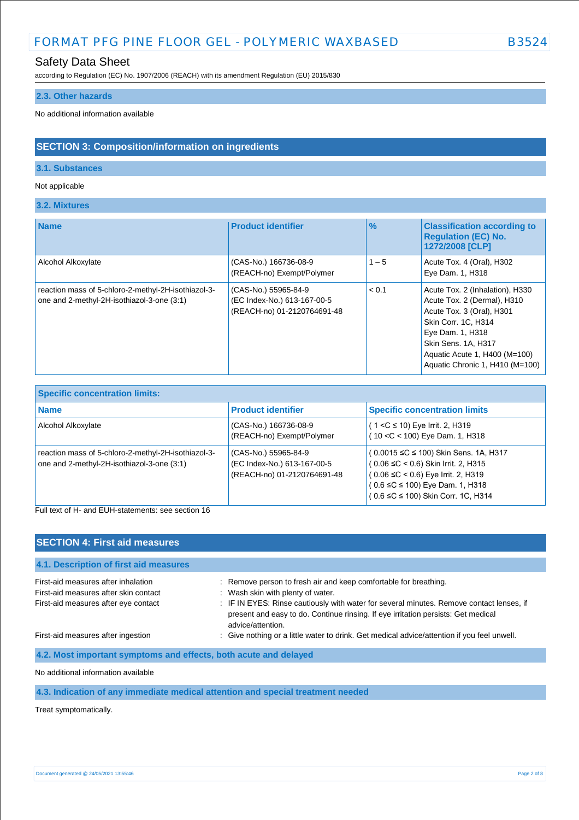# Safety Data Sheet

according to Regulation (EC) No. 1907/2006 (REACH) with its amendment Regulation (EU) 2015/830

## **2.3. Other hazards**

No additional information available

## **SECTION 3: Composition/information on ingredients**

## **3.1. Substances**

## Not applicable

**3.2. Mixtures**

| <b>Name</b>                                                                                       | <b>Product identifier</b>                                                          | $\frac{9}{6}$ | <b>Classification according to</b><br><b>Regulation (EC) No.</b><br>1272/2008 [CLP]                                                                                                                                               |
|---------------------------------------------------------------------------------------------------|------------------------------------------------------------------------------------|---------------|-----------------------------------------------------------------------------------------------------------------------------------------------------------------------------------------------------------------------------------|
| Alcohol Alkoxylate                                                                                | (CAS-No.) 166736-08-9<br>(REACH-no) Exempt/Polymer                                 | $1 - 5$       | Acute Tox. 4 (Oral), H302<br>Eye Dam. 1, H318                                                                                                                                                                                     |
| reaction mass of 5-chloro-2-methyl-2H-isothiazol-3-<br>one and 2-methyl-2H-isothiazol-3-one (3:1) | (CAS-No.) 55965-84-9<br>(EC Index-No.) 613-167-00-5<br>(REACH-no) 01-2120764691-48 | < 0.1         | Acute Tox. 2 (Inhalation), H330<br>Acute Tox. 2 (Dermal), H310<br>Acute Tox. 3 (Oral), H301<br>Skin Corr. 1C, H314<br>Eye Dam. 1, H318<br>Skin Sens, 1A, H317<br>Aquatic Acute 1, H400 (M=100)<br>Aquatic Chronic 1, H410 (M=100) |

| <b>Specific concentration limits:</b>                                                             |                                                                                    |                                                                                                                                                                                                                  |  |  |
|---------------------------------------------------------------------------------------------------|------------------------------------------------------------------------------------|------------------------------------------------------------------------------------------------------------------------------------------------------------------------------------------------------------------|--|--|
| <b>Name</b>                                                                                       | <b>Product identifier</b>                                                          | <b>Specific concentration limits</b>                                                                                                                                                                             |  |  |
| Alcohol Alkoxylate                                                                                | (CAS-No.) 166736-08-9<br>(REACH-no) Exempt/Polymer                                 | $(1 < C \le 10)$ Eye Irrit. 2, H319<br>$(10 < C < 100)$ Eye Dam. 1, H318                                                                                                                                         |  |  |
| reaction mass of 5-chloro-2-methyl-2H-isothiazol-3-<br>one and 2-methyl-2H-isothiazol-3-one (3:1) | (CAS-No.) 55965-84-9<br>(EC Index-No.) 613-167-00-5<br>(REACH-no) 01-2120764691-48 | (0.0015 ≤C ≤ 100) Skin Sens. 1A, H317<br>$(0.06 \leq C < 0.6)$ Skin Irrit. 2, H315<br>$(0.06 \leq C < 0.6)$ Eye Irrit. 2, H319<br>$(0.6 \leq C \leq 100)$ Eye Dam. 1, H318<br>(0.6 ≤C ≤ 100) Skin Corr. 1C, H314 |  |  |

Full text of H- and EUH-statements: see section 16

| <b>SECTION 4: First aid measures</b>                                          |                                                                                                                                                                                                                                         |
|-------------------------------------------------------------------------------|-----------------------------------------------------------------------------------------------------------------------------------------------------------------------------------------------------------------------------------------|
| 4.1. Description of first aid measures                                        |                                                                                                                                                                                                                                         |
| First-aid measures after inhalation                                           | : Remove person to fresh air and keep comfortable for breathing.                                                                                                                                                                        |
| First-aid measures after skin contact<br>First-aid measures after eye contact | : Wash skin with plenty of water.<br>: IF IN EYES: Rinse cautiously with water for several minutes. Remove contact lenses, if<br>present and easy to do. Continue rinsing. If eye irritation persists: Get medical<br>advice/attention. |
| First-aid measures after ingestion                                            | : Give nothing or a little water to drink. Get medical advice/attention if you feel unwell.                                                                                                                                             |
| 4.2. Most important symptoms and effects, both acute and delayed              |                                                                                                                                                                                                                                         |
|                                                                               |                                                                                                                                                                                                                                         |

No additional information available

## **4.3. Indication of any immediate medical attention and special treatment needed**

Treat symptomatically.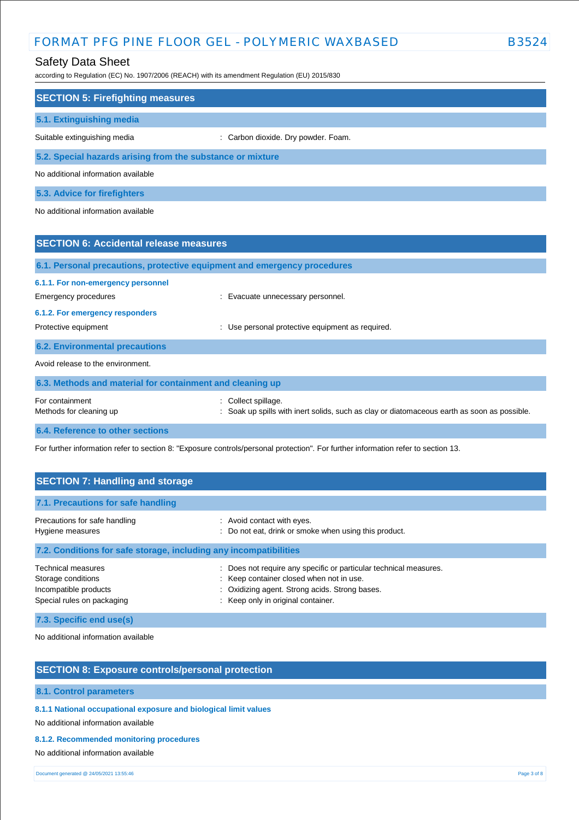## Safety Data Sheet

according to Regulation (EC) No. 1907/2006 (REACH) with its amendment Regulation (EU) 2015/830

| <b>SECTION 5: Firefighting measures</b>                                  |                                                                        |
|--------------------------------------------------------------------------|------------------------------------------------------------------------|
| 5.1. Extinguishing media                                                 |                                                                        |
| Suitable extinguishing media                                             | : Carbon dioxide. Dry powder. Foam.                                    |
| 5.2. Special hazards arising from the substance or mixture               |                                                                        |
| No additional information available                                      |                                                                        |
| 5.3. Advice for firefighters                                             |                                                                        |
| No additional information available                                      |                                                                        |
|                                                                          |                                                                        |
| <b>SECTION 6: Accidental release measures</b>                            |                                                                        |
| 6.1. Personal precautions, protective equipment and emergency procedures |                                                                        |
| 6.1.1. For non-emergency personnel                                       |                                                                        |
| Emergency procedures                                                     | : Evacuate unnecessary personnel.                                      |
| 6.1.2. For emergency responders                                          |                                                                        |
| Protective equipment                                                     | Use personal protective equipment as required.<br>$\ddot{\phantom{a}}$ |
| <b>6.2. Environmental precautions</b>                                    |                                                                        |
| Avoid release to the environment.                                        |                                                                        |
| 6.3. Methods and material for containment and cleaning up                |                                                                        |
| For containment                                                          | Collect spillage.                                                      |

# Methods for cleaning up example of the spills with inert solids, such as clay or diatomaceous earth as soon as possible.

**6.4. Reference to other sections**

For further information refer to section 8: "Exposure controls/personal protection". For further information refer to section 13.

| <b>SECTION 7: Handling and storage</b>                                                                                 |                                                                                                                                                                                                       |  |  |  |
|------------------------------------------------------------------------------------------------------------------------|-------------------------------------------------------------------------------------------------------------------------------------------------------------------------------------------------------|--|--|--|
| 7.1. Precautions for safe handling                                                                                     |                                                                                                                                                                                                       |  |  |  |
| Precautions for safe handling<br>Hygiene measures<br>7.2. Conditions for safe storage, including any incompatibilities | : Avoid contact with eyes.<br>: Do not eat, drink or smoke when using this product.                                                                                                                   |  |  |  |
| <b>Technical measures</b><br>Storage conditions<br>Incompatible products<br>Special rules on packaging                 | : Does not require any specific or particular technical measures.<br>: Keep container closed when not in use.<br>: Oxidizing agent. Strong acids. Strong bases.<br>: Keep only in original container. |  |  |  |

**7.3. Specific end use(s)**

No additional information available

## **SECTION 8: Exposure controls/personal protection**

## **8.1. Control parameters**

**8.1.1 National occupational exposure and biological limit values**

No additional information available

#### **8.1.2. Recommended monitoring procedures**

No additional information available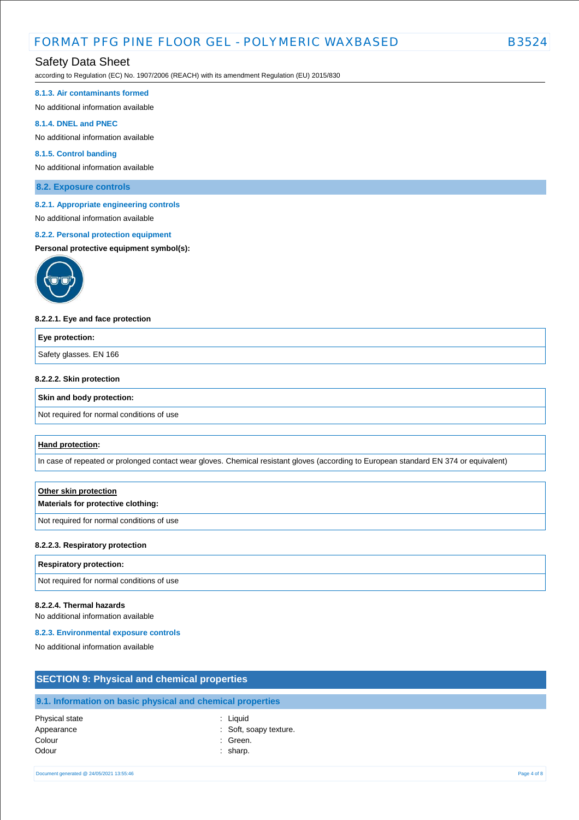## Safety Data Sheet

according to Regulation (EC) No. 1907/2006 (REACH) with its amendment Regulation (EU) 2015/830

#### **8.1.3. Air contaminants formed**

No additional information available

#### **8.1.4. DNEL and PNEC**

No additional information available

## **8.1.5. Control banding**

No additional information available

**8.2. Exposure controls**

#### **8.2.1. Appropriate engineering controls**

# No additional information available

## **8.2.2. Personal protection equipment**

#### **Personal protective equipment symbol(s):**



#### **8.2.2.1. Eye and face protection**

| Eye protection:        |  |
|------------------------|--|
| Safety glasses. EN 166 |  |
|                        |  |

### **8.2.2.2. Skin protection**

#### **Skin and body protection:**

Not required for normal conditions of use

#### **Hand protection:**

In case of repeated or prolonged contact wear gloves. Chemical resistant gloves (according to European standard EN 374 or equivalent)

# **Other skin protection Materials for protective clothing:**

Not required for normal conditions of use

#### **8.2.2.3. Respiratory protection**

#### **Respiratory protection:**

Not required for normal conditions of use

#### **8.2.2.4. Thermal hazards**

No additional information available

#### **8.2.3. Environmental exposure controls**

Colour : Green. Odour : sharp.

No additional information available

| <b>SECTION 9: Physical and chemical properties</b> |                                                            |  |
|----------------------------------------------------|------------------------------------------------------------|--|
|                                                    | 9.1. Information on basic physical and chemical properties |  |
| Physical state<br>Appearance                       | : Liauid<br>: Soft, soapy texture.                         |  |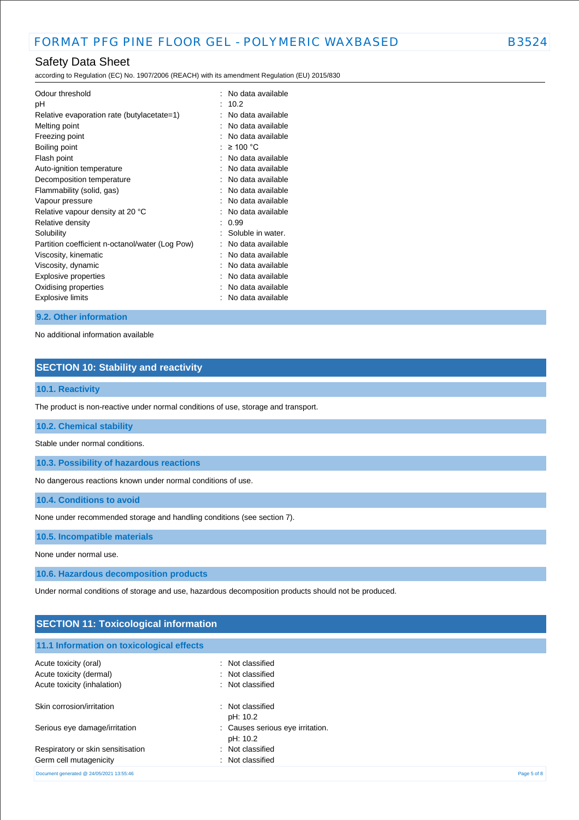according to Regulation (EC) No. 1907/2006 (REACH) with its amendment Regulation (EU) 2015/830

| Odour threshold<br>рH<br>Relative evaporation rate (butylacetate=1) |    | No data available<br>10.2<br>No data available |
|---------------------------------------------------------------------|----|------------------------------------------------|
| Melting point                                                       |    | No data available                              |
| Freezing point                                                      |    | No data available                              |
| Boiling point                                                       | ۰. | $\geq$ 100 °C                                  |
| Flash point                                                         |    | No data available                              |
| Auto-ignition temperature                                           |    | No data available                              |
| Decomposition temperature                                           |    | No data available                              |
| Flammability (solid, gas)                                           |    | No data available                              |
| Vapour pressure                                                     |    | No data available                              |
| Relative vapour density at 20 °C                                    |    | No data available                              |
| Relative density                                                    | ٠  | 0.99                                           |
| Solubility                                                          |    | Soluble in water.                              |
| Partition coefficient n-octanol/water (Log Pow)                     |    | No data available                              |
| Viscosity, kinematic                                                |    | No data available                              |
| Viscosity, dynamic                                                  |    | No data available                              |
| Explosive properties                                                |    | No data available                              |
| Oxidising properties                                                |    | No data available                              |
| <b>Explosive limits</b>                                             |    | No data available                              |

#### **9.2. Other information**

No additional information available

# **SECTION 10: Stability and reactivity**

### **10.1. Reactivity**

The product is non-reactive under normal conditions of use, storage and transport.

**10.2. Chemical stability**

Stable under normal conditions.

**10.3. Possibility of hazardous reactions**

No dangerous reactions known under normal conditions of use.

**10.4. Conditions to avoid**

None under recommended storage and handling conditions (see section 7).

**10.5. Incompatible materials**

None under normal use.

**10.6. Hazardous decomposition products**

Under normal conditions of storage and use, hazardous decomposition products should not be produced.

| <b>SECTION 11: Toxicological information</b> |                                              |             |  |
|----------------------------------------------|----------------------------------------------|-------------|--|
| 11.1 Information on toxicological effects    |                                              |             |  |
| Acute toxicity (oral)                        | : Not classified                             |             |  |
| Acute toxicity (dermal)                      | : Not classified                             |             |  |
| Acute toxicity (inhalation)                  | : Not classified                             |             |  |
| Skin corrosion/irritation                    | Not classified<br>÷<br>pH: 10.2              |             |  |
| Serious eye damage/irritation                | : Causes serious eye irritation.<br>pH: 10.2 |             |  |
| Respiratory or skin sensitisation            | Not classified<br>÷                          |             |  |
| Germ cell mutagenicity                       | Not classified                               |             |  |
| Document generated @ 24/05/2021 13:55:46     |                                              | Page 5 of 8 |  |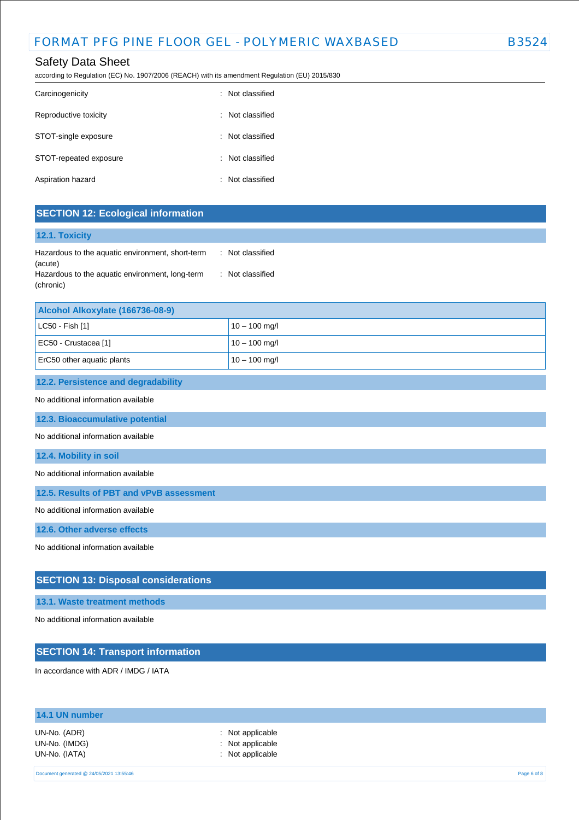# Safety Data Sheet

according to Regulation (EC) No. 1907/2006 (REACH) with its amendment Regulation (EU) 2015/830

| Carcinogenicity        | : Not classified |
|------------------------|------------------|
| Reproductive toxicity  | : Not classified |
| STOT-single exposure   | : Not classified |
| STOT-repeated exposure | : Not classified |
| Aspiration hazard      | : Not classified |

## **SECTION 12: Ecological information**

## **12.1. Toxicity**

| Hazardous to the aquatic environment, short-term | : Not classified |
|--------------------------------------------------|------------------|
| (acute)                                          |                  |
| Hazardous to the aquatic environment, long-term  | : Not classified |
| (chronic)                                        |                  |

| Alcohol Alkoxylate (166736-08-9) |                 |  |
|----------------------------------|-----------------|--|
| $ $ LC50 - Fish [1]              | $10 - 100$ mg/l |  |
| EC50 - Crustacea [1]             | $10 - 100$ mg/l |  |
| ErC50 other aquatic plants       | $10 - 100$ mg/l |  |

#### **12.2. Persistence and degradability**

### No additional information available

**12.3. Bioaccumulative potential**

No additional information available

#### **12.4. Mobility in soil**

No additional information available

**12.5. Results of PBT and vPvB assessment**

No additional information available

**12.6. Other adverse effects**

No additional information available

## **SECTION 13: Disposal considerations**

## **13.1. Waste treatment methods**

No additional information available

# **SECTION 14: Transport information**

In accordance with ADR / IMDG / IATA

| 14.1 UN number                                 |                                                          |             |
|------------------------------------------------|----------------------------------------------------------|-------------|
| UN-No. (ADR)<br>UN-No. (IMDG)<br>UN-No. (IATA) | : Not applicable<br>: Not applicable<br>: Not applicable |             |
| Document generated @ 24/05/2021 13:55:46       |                                                          | Page 6 of 8 |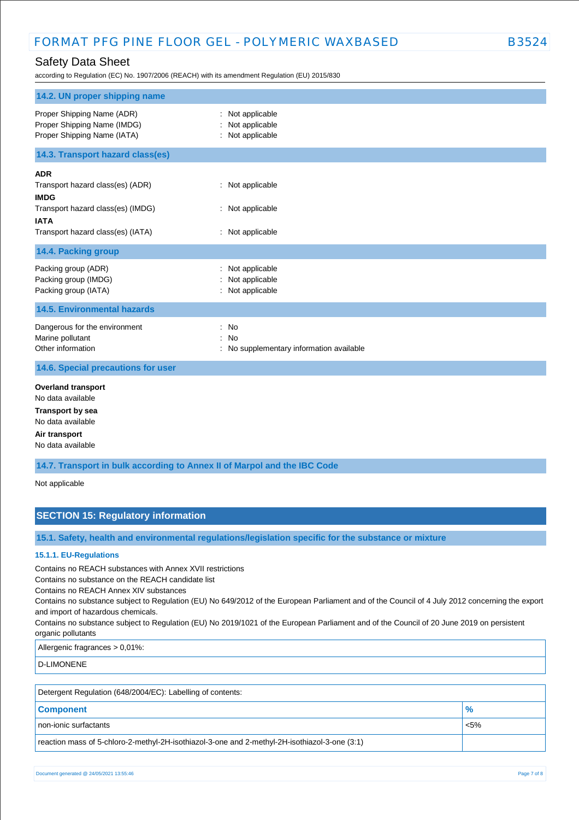# Safety Data Sheet

according to Regulation (EC) No. 1907/2006 (REACH) with its amendment Regulation (EU) 2015/830

| 14.2. UN proper shipping name                                                                                                                          |                                                                    |
|--------------------------------------------------------------------------------------------------------------------------------------------------------|--------------------------------------------------------------------|
| Proper Shipping Name (ADR)<br>Proper Shipping Name (IMDG)<br>Proper Shipping Name (IATA)                                                               | Not applicable<br>Not applicable<br>: Not applicable               |
| 14.3. Transport hazard class(es)                                                                                                                       |                                                                    |
| <b>ADR</b><br>Transport hazard class(es) (ADR)<br><b>IMDG</b><br>Transport hazard class(es) (IMDG)<br><b>IATA</b><br>Transport hazard class(es) (IATA) | : Not applicable<br>: Not applicable<br>: Not applicable           |
| 14.4. Packing group                                                                                                                                    |                                                                    |
| Packing group (ADR)<br>Packing group (IMDG)<br>Packing group (IATA)                                                                                    | Not applicable<br>Not applicable<br>Not applicable                 |
| <b>14.5. Environmental hazards</b>                                                                                                                     |                                                                    |
| Dangerous for the environment<br>Marine pollutant<br>Other information                                                                                 | : No<br><b>No</b><br>÷<br>: No supplementary information available |
| 14.6. Special precautions for user                                                                                                                     |                                                                    |
| <b>Overland transport</b><br>No data available<br><b>Transport by sea</b><br>No data available<br>Air transport<br>No data available                   |                                                                    |

**14.7. Transport in bulk according to Annex II of Marpol and the IBC Code**

Not applicable

## **SECTION 15: Regulatory information**

**15.1. Safety, health and environmental regulations/legislation specific for the substance or mixture**

### **15.1.1. EU-Regulations**

Contains no REACH substances with Annex XVII restrictions

Contains no substance on the REACH candidate list

Contains no REACH Annex XIV substances

Contains no substance subject to Regulation (EU) No 649/2012 of the European Parliament and of the Council of 4 July 2012 concerning the export and import of hazardous chemicals.

Contains no substance subject to Regulation (EU) No 2019/1021 of the European Parliament and of the Council of 20 June 2019 on persistent organic pollutants

Allergenic fragrances > 0,01%:

D-LIMONENE

| Detergent Regulation (648/2004/EC): Labelling of contents:                                    |               |  |
|-----------------------------------------------------------------------------------------------|---------------|--|
| <b>Component</b>                                                                              | $\frac{9}{6}$ |  |
| non-ionic surfactants                                                                         | $< 5\%$       |  |
| reaction mass of 5-chloro-2-methyl-2H-isothiazol-3-one and 2-methyl-2H-isothiazol-3-one (3:1) |               |  |